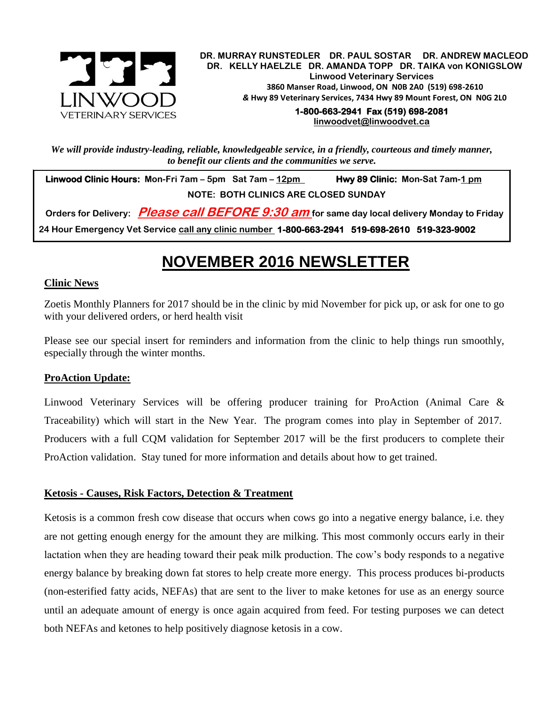

.  **DR. MURRAY RUNSTEDLER DR. PAUL SOSTAR DR. ANDREW MACLEOD DR. KELLY HAELZLE DR. AMANDA TOPP DR. TAIKA von KONIGSLOW Linwood Veterinary Services 3860 Manser Road, Linwood, ON N0B 2A0 (519) 698-2610** *&* **Hwy 89 Veterinary Services, 7434 Hwy 89 Mount Forest, ON N0G 2L0**

> **1-800-663-2941 Fax (519) 698-2081 [linwoodvet@linwoodvet.ca](mailto:linwoodvet@linwoodvet.ca)**

*We will provide industry-leading, reliable, knowledgeable service, in a friendly, courteous and timely manner, to benefit our clients and the communities we serve.*

 **Linwood Clinic Hours: Mon-Fri 7am – 5pm Sat 7am – 12pm Hwy 89 Clinic: Mon-Sat 7am-1 pm NOTE: BOTH CLINICS ARE CLOSED SUNDAY**

 **Orders for Delivery: Please call BEFORE 9:30 am for same day local delivery Monday to Friday 24 Hour Emergency Vet Service call any clinic number 1-800-663-2941 519-698-2610 519-323-9002**

## **NOVEMBER 2016 NEWSLETTER**

## **Clinic News**

Zoetis Monthly Planners for 2017 should be in the clinic by mid November for pick up, or ask for one to go with your delivered orders, or herd health visit

Please see our special insert for reminders and information from the clinic to help things run smoothly, especially through the winter months.

## **ProAction Update:**

Linwood Veterinary Services will be offering producer training for ProAction (Animal Care & Traceability) which will start in the New Year. The program comes into play in September of 2017. Producers with a full CQM validation for September 2017 will be the first producers to complete their ProAction validation. Stay tuned for more information and details about how to get trained.

## **Ketosis - Causes, Risk Factors, Detection & Treatment**

Ketosis is a common fresh cow disease that occurs when cows go into a negative energy balance, i.e. they are not getting enough energy for the amount they are milking. This most commonly occurs early in their lactation when they are heading toward their peak milk production. The cow's body responds to a negative energy balance by breaking down fat stores to help create more energy. This process produces bi-products (non-esterified fatty acids, NEFAs) that are sent to the liver to make ketones for use as an energy source until an adequate amount of energy is once again acquired from feed. For testing purposes we can detect both NEFAs and ketones to help positively diagnose ketosis in a cow.